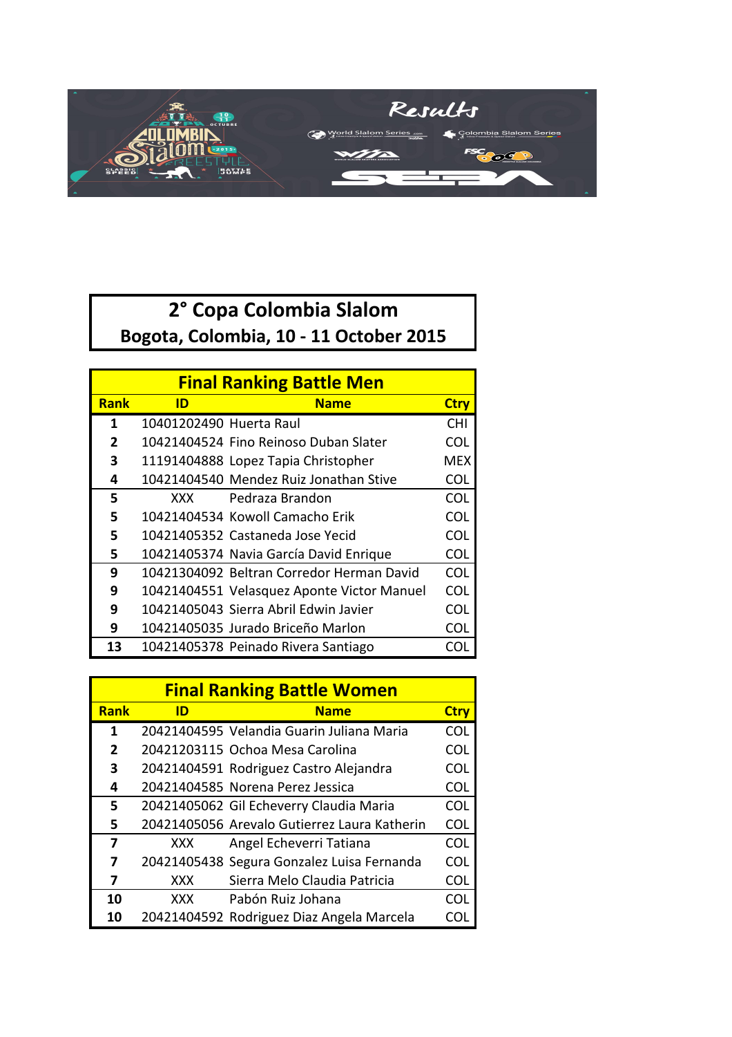

## **2° Copa Colombia Slalom** Bogota, Colombia, 10 - 11 October 2015

| <b>Final Ranking Battle Men</b> |                         |                                            |             |  |
|---------------------------------|-------------------------|--------------------------------------------|-------------|--|
| <b>Rank</b>                     | <b>Name</b><br>ID       |                                            | <b>Ctry</b> |  |
| 1                               | 10401202490 Huerta Raul |                                            | <b>CHI</b>  |  |
| 2                               |                         | 10421404524 Fino Reinoso Duban Slater      | <b>COL</b>  |  |
| 3                               |                         | 11191404888 Lopez Tapia Christopher        | MEX         |  |
| 4                               |                         | 10421404540 Mendez Ruiz Jonathan Stive     | COL         |  |
| 5                               | XXX.                    | Pedraza Brandon                            | COL         |  |
| 5                               |                         | 10421404534 Kowoll Camacho Erik            | COL         |  |
| 5                               |                         | 10421405352 Castaneda Jose Yecid           | COL         |  |
| 5                               |                         | 10421405374 Navia García David Enrique     | COL         |  |
| 9                               |                         | 10421304092 Beltran Corredor Herman David  | COL         |  |
| 9                               |                         | 10421404551 Velasquez Aponte Victor Manuel | <b>COL</b>  |  |
| 9                               |                         | 10421405043 Sierra Abril Edwin Javier      | COL         |  |
| 9                               |                         | 10421405035 Jurado Briceño Marlon          | COL         |  |
| 13                              |                         | 10421405378 Peinado Rivera Santiago        | COI         |  |

| <b>Final Ranking Battle Women</b> |            |                                              |             |  |
|-----------------------------------|------------|----------------------------------------------|-------------|--|
| <b>Rank</b>                       | ID         | <b>Name</b>                                  | <b>Ctry</b> |  |
| 1                                 |            | 20421404595 Velandia Guarin Juliana Maria    | COL         |  |
| 2                                 |            | 20421203115 Ochoa Mesa Carolina              | COL         |  |
| 3                                 |            | 20421404591 Rodriguez Castro Alejandra       | <b>COL</b>  |  |
| 4                                 |            | 20421404585 Norena Perez Jessica             | <b>COL</b>  |  |
| 5                                 |            | 20421405062 Gil Echeverry Claudia Maria      | <b>COL</b>  |  |
| 5                                 |            | 20421405056 Arevalo Gutierrez Laura Katherin | <b>COL</b>  |  |
| 7                                 | XXX        | Angel Echeverri Tatiana                      | COL         |  |
| 7                                 |            | 20421405438 Segura Gonzalez Luisa Fernanda   | COL         |  |
| 7                                 | <b>XXX</b> | Sierra Melo Claudia Patricia                 | <b>COL</b>  |  |
| 10                                | XXX        | Pabón Ruiz Johana                            | COL         |  |
| 10                                |            | 20421404592 Rodriguez Diaz Angela Marcela    | COL         |  |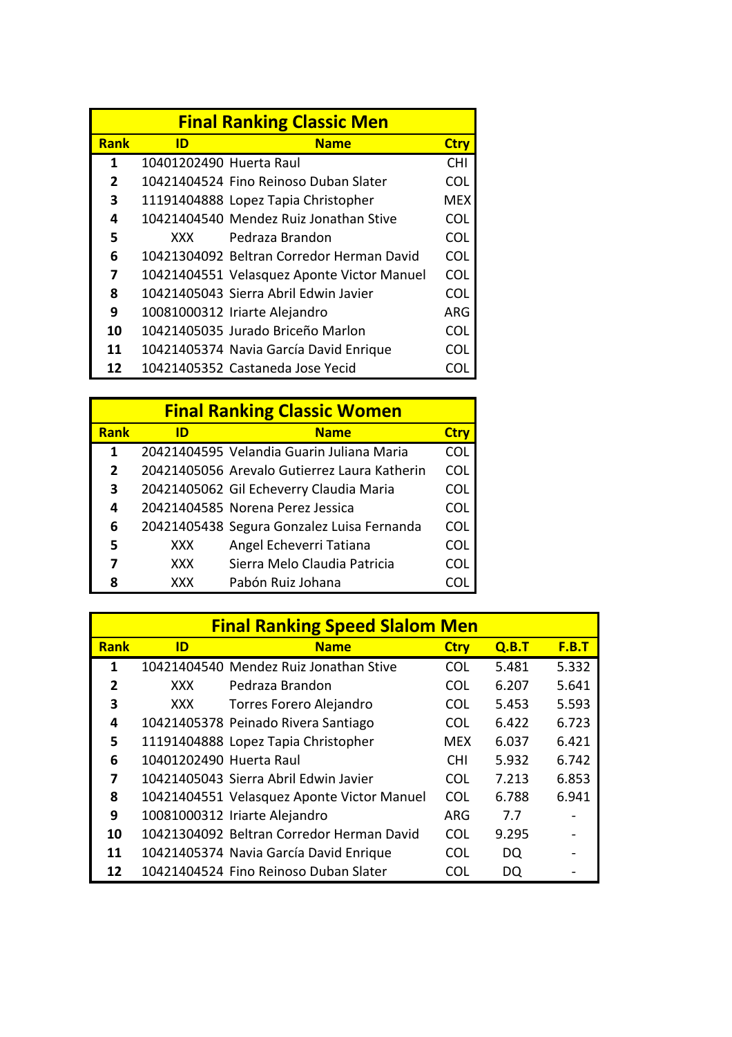| <b>Final Ranking Classic Men</b> |                         |                                            |             |  |
|----------------------------------|-------------------------|--------------------------------------------|-------------|--|
| <b>Rank</b>                      | ID                      | <b>Name</b>                                | <b>Ctry</b> |  |
| 1                                | 10401202490 Huerta Raul |                                            | <b>CHI</b>  |  |
| 2                                |                         | 10421404524 Fino Reinoso Duban Slater      | COL         |  |
| 3                                |                         | 11191404888 Lopez Tapia Christopher        | MFX         |  |
| 4                                |                         | 10421404540 Mendez Ruiz Jonathan Stive     | <b>COL</b>  |  |
| 5                                | XXX.                    | Pedraza Brandon                            | <b>COL</b>  |  |
| 6                                |                         | 10421304092 Beltran Corredor Herman David  | <b>COL</b>  |  |
| 7                                |                         | 10421404551 Velasquez Aponte Victor Manuel | <b>COL</b>  |  |
| 8                                |                         | 10421405043 Sierra Abril Edwin Javier      | COL         |  |
| 9                                |                         | 10081000312 Iriarte Alejandro              | ARG         |  |
| 10                               |                         | 10421405035 Jurado Briceño Marlon          | <b>COL</b>  |  |
| 11                               |                         | 10421405374 Navia García David Enrique     | COL         |  |
| 12                               |                         | 10421405352 Castaneda Jose Yecid           | COL         |  |

| <b>Final Ranking Classic Women</b> |            |                                              |             |  |  |
|------------------------------------|------------|----------------------------------------------|-------------|--|--|
| <b>Rank</b>                        | ID         | <b>Name</b>                                  | <b>Ctry</b> |  |  |
| 1                                  |            | 20421404595 Velandia Guarin Juliana Maria    | <b>COL</b>  |  |  |
| $\overline{2}$                     |            | 20421405056 Arevalo Gutierrez Laura Katherin | <b>COL</b>  |  |  |
| 3                                  |            | 20421405062 Gil Echeverry Claudia Maria      | COL         |  |  |
| 4                                  |            | 20421404585 Norena Perez Jessica             | COL         |  |  |
| 6                                  |            | 20421405438 Segura Gonzalez Luisa Fernanda   | COL         |  |  |
| 5                                  | <b>XXX</b> | Angel Echeverri Tatiana                      | COL         |  |  |
| 7                                  | <b>XXX</b> | Sierra Melo Claudia Patricia                 | COL         |  |  |
| Ջ                                  | <b>XXX</b> | Pabón Ruiz Johana                            |             |  |  |

| <b>Final Ranking Speed Slalom Men</b> |                         |                                            |             |       |       |
|---------------------------------------|-------------------------|--------------------------------------------|-------------|-------|-------|
| <b>Rank</b>                           | ID                      | <b>Name</b>                                | <b>Ctry</b> | Q.B.T | F.B.T |
| 1                                     |                         | 10421404540 Mendez Ruiz Jonathan Stive     | <b>COL</b>  | 5.481 | 5.332 |
| $\overline{2}$                        | <b>XXX</b>              | Pedraza Brandon                            | COL         | 6.207 | 5.641 |
| 3                                     | <b>XXX</b>              | Torres Forero Alejandro                    | <b>COL</b>  | 5.453 | 5.593 |
| 4                                     |                         | 10421405378 Peinado Rivera Santiago        | COL         | 6.422 | 6.723 |
| 5                                     |                         | 11191404888 Lopez Tapia Christopher        | MEX         | 6.037 | 6.421 |
| 6                                     | 10401202490 Huerta Raul |                                            | <b>CHI</b>  | 5.932 | 6.742 |
| 7                                     |                         | 10421405043 Sierra Abril Edwin Javier      | <b>COL</b>  | 7.213 | 6.853 |
| 8                                     |                         | 10421404551 Velasquez Aponte Victor Manuel | <b>COL</b>  | 6.788 | 6.941 |
| 9                                     |                         | 10081000312 Iriarte Alejandro              | ARG         | 7.7   |       |
| 10                                    |                         | 10421304092 Beltran Corredor Herman David  | COL         | 9.295 |       |
| 11                                    |                         | 10421405374 Navia García David Enrique     | COL         | DQ    |       |
| 12                                    |                         | 10421404524 Fino Reinoso Duban Slater      | COL         | DQ    |       |